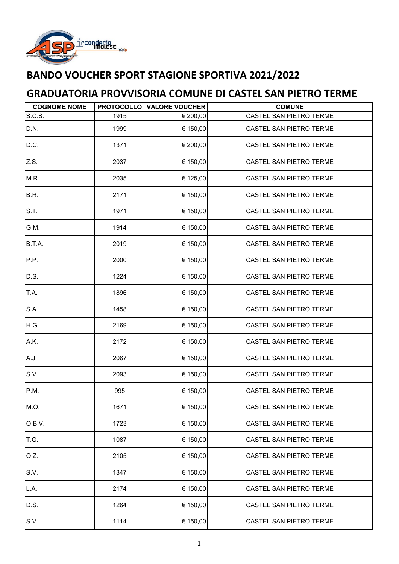

## **BANDO VOUCHER SPORT STAGIONE SPORTIVA 2021/2022**

## **GRADUATORIA PROVVISORIA COMUNE DI CASTEL SAN PIETRO TERME**

| <b>COGNOME NOME</b> |      | <b>PROTOCOLLO VALORE VOUCHER</b> | <b>COMUNE</b>           |
|---------------------|------|----------------------------------|-------------------------|
| S.C.S.              | 1915 | € 200,00                         | CASTEL SAN PIETRO TERME |
| D.N.                | 1999 | € 150,00                         | CASTEL SAN PIETRO TERME |
| D.C.                | 1371 | € 200,00                         | CASTEL SAN PIETRO TERME |
| Z.S.                | 2037 | € 150,00                         | CASTEL SAN PIETRO TERME |
| M.R.                | 2035 | € 125,00                         | CASTEL SAN PIETRO TERME |
| B.R.                | 2171 | € 150,00                         | CASTEL SAN PIETRO TERME |
| S.T.                | 1971 | € 150,00                         | CASTEL SAN PIETRO TERME |
| G.M.                | 1914 | € 150,00                         | CASTEL SAN PIETRO TERME |
| B.T.A.              | 2019 | € 150,00                         | CASTEL SAN PIETRO TERME |
| P.P.                | 2000 | € 150,00                         | CASTEL SAN PIETRO TERME |
| D.S.                | 1224 | € 150,00                         | CASTEL SAN PIETRO TERME |
| T.A.                | 1896 | € 150,00                         | CASTEL SAN PIETRO TERME |
| S.A.                | 1458 | € 150,00                         | CASTEL SAN PIETRO TERME |
| H.G.                | 2169 | € 150,00                         | CASTEL SAN PIETRO TERME |
| A.K.                | 2172 | € 150,00                         | CASTEL SAN PIETRO TERME |
| A.J.                | 2067 | € 150,00                         | CASTEL SAN PIETRO TERME |
| S.V.                | 2093 | € 150,00                         | CASTEL SAN PIETRO TERME |
| P.M.                | 995  | € 150,00                         | CASTEL SAN PIETRO TERME |
| M.O.                | 1671 | € 150,00                         | CASTEL SAN PIETRO TERME |
| O.B.V.              | 1723 | € 150,00                         | CASTEL SAN PIETRO TERME |
| T.G.                | 1087 | € 150,00                         | CASTEL SAN PIETRO TERME |
| O.Z.                | 2105 | € 150,00                         | CASTEL SAN PIETRO TERME |
| S.V.                | 1347 | € 150,00                         | CASTEL SAN PIETRO TERME |
| L.A.                | 2174 | € 150,00                         | CASTEL SAN PIETRO TERME |
| D.S.                | 1264 | € 150,00                         | CASTEL SAN PIETRO TERME |
| S.V.                | 1114 | € 150,00                         | CASTEL SAN PIETRO TERME |